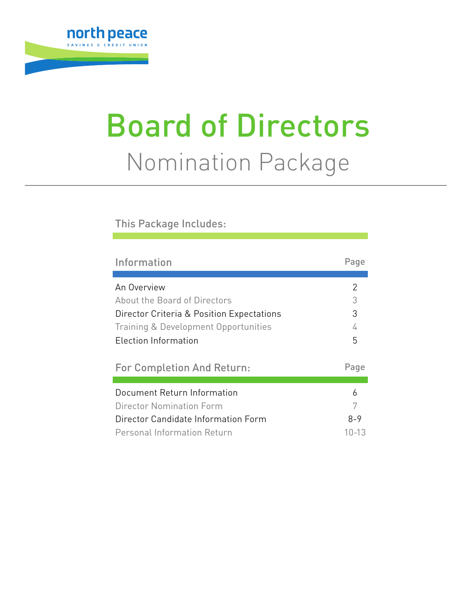

# Board of Directors Nomination Package

#### This Package Includes:

| Information                               | Page    |  |  |  |
|-------------------------------------------|---------|--|--|--|
|                                           |         |  |  |  |
| An Overview                               | 2       |  |  |  |
| About the Board of Directors              | 3       |  |  |  |
| Director Criteria & Position Expectations | 3       |  |  |  |
| Training & Development Opportunities      | 4       |  |  |  |
| Election Information                      |         |  |  |  |
|                                           |         |  |  |  |
|                                           |         |  |  |  |
| <b>For Completion And Return:</b>         | Page    |  |  |  |
|                                           |         |  |  |  |
| Document Return Information               | 6       |  |  |  |
| Director Nomination Form                  | 7       |  |  |  |
| Director Candidate Information Form       | $8 - 9$ |  |  |  |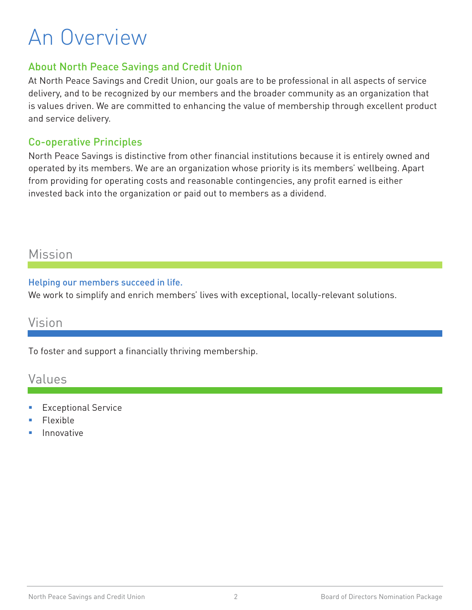## An Overview

#### About North Peace Savings and Credit Union

At North Peace Savings and Credit Union, our goals are to be professional in all aspects of service delivery, and to be recognized by our members and the broader community as an organization that is values driven. We are committed to enhancing the value of membership through excellent product and service delivery.

#### Co-operative Principles

North Peace Savings is distinctive from other financial institutions because it is entirely owned and operated by its members. We are an organization whose priority is its members' wellbeing. Apart from providing for operating costs and reasonable contingencies, any profit earned is either invested back into the organization or paid out to members as a dividend.

## Mission

#### Helping our members succeed in life.

We work to simplify and enrich members' lives with exceptional, locally-relevant solutions.

## Vision

To foster and support a financially thriving membership.

## Values

- Exceptional Service
- Flexible
- Innovative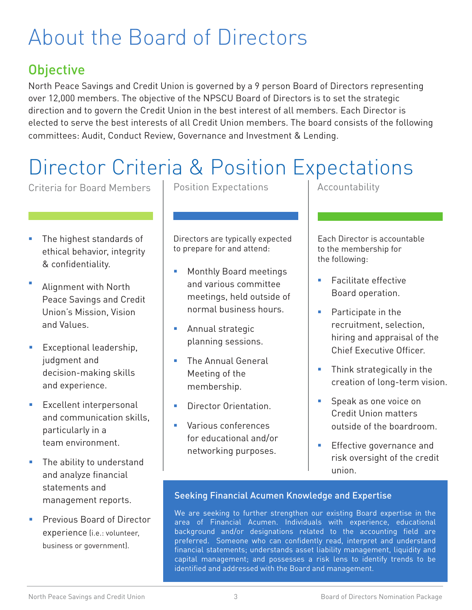# About the Board of Directors

## **Objective**

North Peace Savings and Credit Union is governed by a 9 person Board of Directors representing over 12,000 members. The objective of the NPSCU Board of Directors is to set the strategic direction and to govern the Credit Union in the best interest of all members. Each Director is elected to serve the best interests of all Credit Union members. The board consists of the following committees: Audit, Conduct Review, Governance and Investment & Lending.

# Director Criteria & Position Expectations

Criteria for Board Members

- The highest standards of ethical behavior, integrity & confidentiality.
- Alignment with North Peace Savings and Credit Union's Mission, Vision and Values.
- **Exceptional leadership,** judgment and decision-making skills and experience.
- Excellent interpersonal and communication skills, particularly in a team environment.
- **The ability to understand** and analyze financial statements and management reports.
- Previous Board of Director experience (i.e.: volunteer, business or government).

Position Expectations

Directors are typically expected to prepare for and attend:

- **Monthly Board meetings** and various committee meetings, held outside of normal business hours.
- **Annual strategic** planning sessions.
- **The Annual General** Meeting of the membership.
- **Director Orientation**
- **Various conferences** for educational and/or networking purposes.

Accountability

Each Director is accountable to the membership for the following:

- **Facilitate effective** Board operation.
- **Participate in the** recruitment, selection, hiring and appraisal of the Chief Executive Officer.
- **Think strategically in the** creation of long-term vision.
- **Speak as one voice on** Credit Union matters outside of the boardroom.
- **Effective governance and** risk oversight of the credit union.

#### Seeking Financial Acumen Knowledge and Expertise

We are seeking to further strengthen our existing Board expertise in the area of Financial Acumen. Individuals with experience, educational background and/or designations related to the accounting field are preferred. Someone who can confidently read, interpret and understand financial statements; understands asset liability management, liquidity and capital management; and possesses a risk lens to identify trends to be identified and addressed with the Board and management.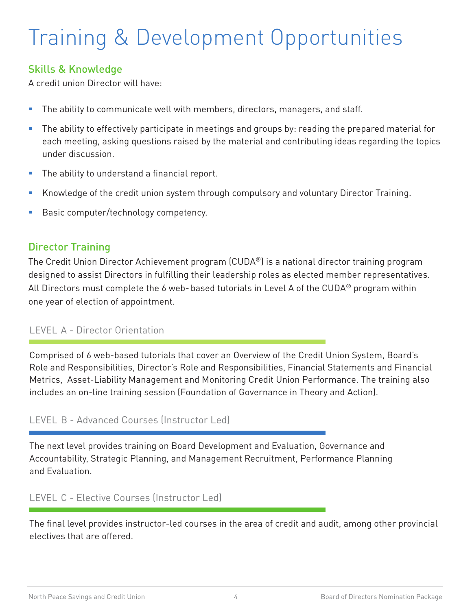# Training & Development Opportunities

#### Skills & Knowledge

A credit union Director will have:

- **The ability to communicate well with members, directors, managers, and staff.**
- The ability to effectively participate in meetings and groups by: reading the prepared material for each meeting, asking questions raised by the material and contributing ideas regarding the topics under discussion.
- **The ability to understand a financial report.**
- Knowledge of the credit union system through compulsory and voluntary Director Training.
- **Basic computer/technology competency.**

#### Director Training

The Credit Union Director Achievement program (CUDA®) is a national director training program designed to assist Directors in fulfilling their leadership roles as elected member representatives. All Directors must complete the 6 web- based tutorials in Level A of the CUDA® program within one year of election of appointment.

#### LEVEL A - Director Orientation

Comprised of 6 web-based tutorials that cover an Overview of the Credit Union System, Board's Role and Responsibilities, Director's Role and Responsibilities, Financial Statements and Financial Metrics, Asset-Liability Management and Monitoring Credit Union Performance. The training also includes an on-line training session (Foundation of Governance in Theory and Action).

#### LEVEL B - Advanced Courses (Instructor Led)

The next level provides training on Board Development and Evaluation, Governance and Accountability, Strategic Planning, and Management Recruitment, Performance Planning and Evaluation.

#### LEVEL C - Elective Courses (Instructor Led)

The final level provides instructor-led courses in the area of credit and audit, among other provincial electives that are offered.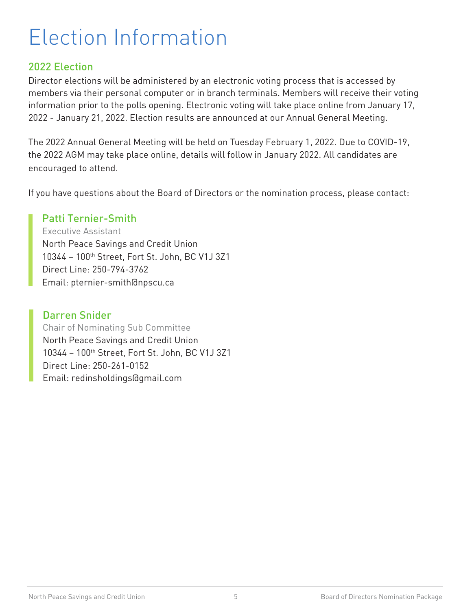# Election Information

### 2022 Election

Director elections will be administered by an electronic voting process that is accessed by members via their personal computer or in branch terminals. Members will receive their voting information prior to the polls opening. Electronic voting will take place online from January 17, 2022 - January 21, 2022. Election results are announced at our Annual General Meeting.

The 2022 Annual General Meeting will be held on Tuesday February 1, 2022. Due to COVID-19, the 2022 AGM may take place online, details will follow in January 2022. All candidates are encouraged to attend.

If you have questions about the Board of Directors or the nomination process, please contact:

#### Patti Ternier-Smith

Executive Assistant North Peace Savings and Credit Union 10344 – 100th Street, Fort St. John, BC V1J 3Z1 Direct Line: 250-794-3762 Email: pternier-smith@npscu.ca

#### Darren Snider

Chair of Nominating Sub Committee North Peace Savings and Credit Union 10344 – 100th Street, Fort St. John, BC V1J 3Z1 Direct Line: 250-261-0152 Email: redinsholdings@gmail.com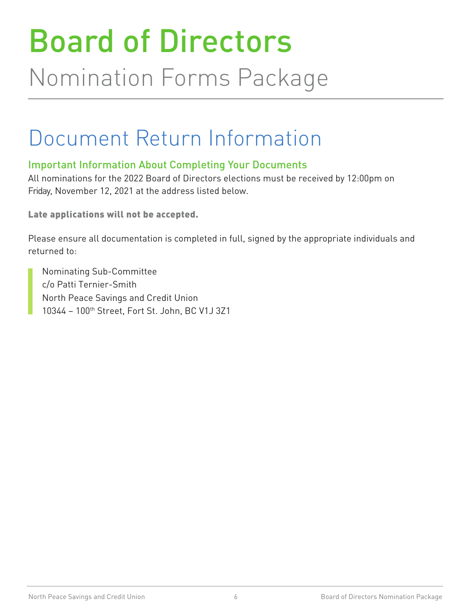# Board of Directors Nomination Forms Package

## Document Return Information

## Important Information About Completing Your Documents

All nominations for the 2022 Board of Directors elections must be received by 12:00pm on Friday, November 12, 2021 at the address listed below.

Late applications will not be accepted.

Please ensure all documentation is completed in full, signed by the appropriate individuals and returned to:

Nominating Sub-Committee c/o Patti Ternier-Smith North Peace Savings and Credit Union 10344 – 100th Street, Fort St. John, BC V1J 3Z1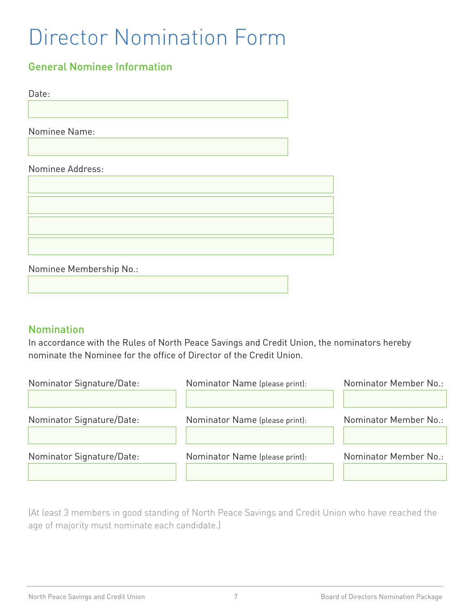# Director Nomination Form

## General Nominee Information

Date:

Nominee Name:

#### Nominee Address:



Nominee Membership No.:

#### Nomination

In accordance with the Rules of North Peace Savings and Credit Union, the nominators hereby nominate the Nominee for the office of Director of the Credit Union.

| Nominator Signature/Date: | Nominator Name (please print): | Nominator Member No.: |
|---------------------------|--------------------------------|-----------------------|
| Nominator Signature/Date: | Nominator Name (please print): | Nominator Member No.: |
| Nominator Signature/Date: | Nominator Name (please print): | Nominator Member No.: |

(At least 3 members in good standing of North Peace Savings and Credit Union who have reached the age of majority must nominate each candidate.)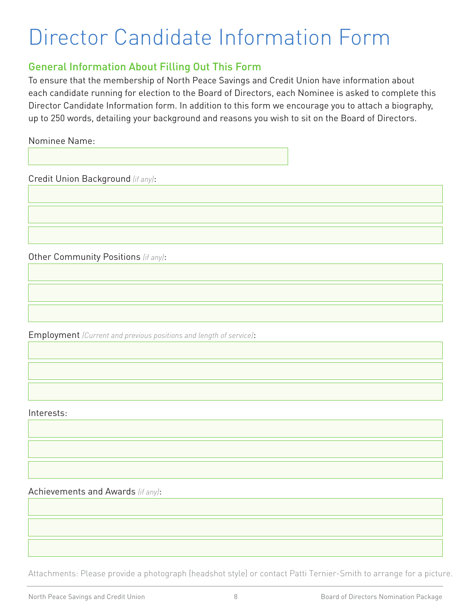# Director Candidate Information Form

#### General Information About Filling Out This Form

To ensure that the membership of North Peace Savings and Credit Union have information about each candidate running for election to the Board of Directors, each Nominee is asked to complete this Director Candidate Information form. In addition to this form we encourage you to attach a biography, up to 250 words, detailing your background and reasons you wish to sit on the Board of Directors.

Nominee Name:

Credit Union Background *(if any)*:

Other Community Positions *(if any)*:

Employment *(Current and previous positions and length of service)*:

Interests:

Achievements and Awards *(if any)*:

Attachments: Please provide a photograph (headshot style) or contact Patti Ternier-Smith to arrange for a picture.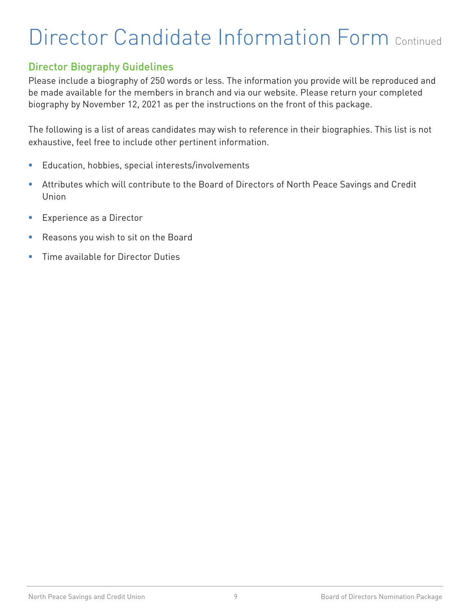# Director Candidate Information Form Continued

### Director Biography Guidelines

Please include a biography of 250 words or less. The information you provide will be reproduced and be made available for the members in branch and via our website. Please return your completed biography by November 12, 2021 as per the instructions on the front of this package.

The following is a list of areas candidates may wish to reference in their biographies. This list is not exhaustive, feel free to include other pertinent information.

- **Education, hobbies, special interests/involvements**
- Attributes which will contribute to the Board of Directors of North Peace Savings and Credit Union
- **Experience as a Director**
- Reasons you wish to sit on the Board
- **Time available for Director Duties**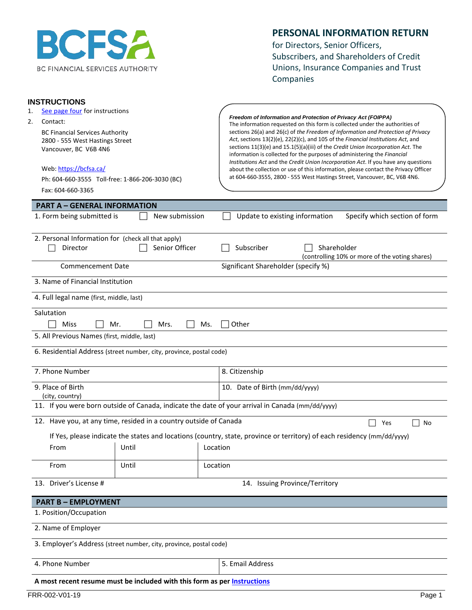

#### **PERSONAL INFORMATION RETURN**

for Directors, Senior Officers, Subscribers, and Shareholders of Credit Unions, Insurance Companies and Trust Companies

| <b>INSTRUCTIONS</b>                                                       |                                                                                          |          |                                                                                                                                                                      |  |  |
|---------------------------------------------------------------------------|------------------------------------------------------------------------------------------|----------|----------------------------------------------------------------------------------------------------------------------------------------------------------------------|--|--|
| See page four for instructions<br>1.<br>2.                                |                                                                                          |          | Freedom of Information and Protection of Privacy Act (FOIPPA)                                                                                                        |  |  |
| Contact:                                                                  |                                                                                          |          | The information requested on this form is collected under the authorities of                                                                                         |  |  |
| <b>BC Financial Services Authority</b><br>2800 - 555 West Hastings Street |                                                                                          |          | sections 26(a) and 26(c) of the Freedom of Information and Protection of Privacy<br>Act, sections 13(2)(e), 22(2)(c), and 105 of the Financial Institutions Act, and |  |  |
| Vancouver, BC V6B 4N6                                                     |                                                                                          |          | sections 11(3)(e) and 15.1(5)(a)(iii) of the Credit Union Incorporation Act. The                                                                                     |  |  |
|                                                                           |                                                                                          |          | information is collected for the purposes of administering the Financial<br>Institutions Act and the Credit Union Incorporation Act. If you have any questions       |  |  |
| Web: https://bcfsa.ca/                                                    |                                                                                          |          | about the collection or use of this information, please contact the Privacy Officer                                                                                  |  |  |
|                                                                           | Ph: 604-660-3555 Toll-free: 1-866-206-3030 (BC)                                          |          | at 604-660-3555, 2800 - 555 West Hastings Street, Vancouver, BC, V6B 4N6.                                                                                            |  |  |
| Fax: 604-660-3365                                                         |                                                                                          |          |                                                                                                                                                                      |  |  |
| <b>PART A - GENERAL INFORMATION</b>                                       |                                                                                          |          |                                                                                                                                                                      |  |  |
| 1. Form being submitted is                                                | New submission                                                                           |          | Specify which section of form<br>Update to existing information                                                                                                      |  |  |
| 2. Personal Information for (check all that apply)                        |                                                                                          |          |                                                                                                                                                                      |  |  |
| Director                                                                  | Senior Officer                                                                           |          | Subscriber<br>Shareholder                                                                                                                                            |  |  |
|                                                                           |                                                                                          |          | (controlling 10% or more of the voting shares)                                                                                                                       |  |  |
| <b>Commencement Date</b>                                                  |                                                                                          |          | Significant Shareholder (specify %)                                                                                                                                  |  |  |
| 3. Name of Financial Institution                                          |                                                                                          |          |                                                                                                                                                                      |  |  |
| 4. Full legal name (first, middle, last)                                  |                                                                                          |          |                                                                                                                                                                      |  |  |
| Salutation                                                                |                                                                                          |          |                                                                                                                                                                      |  |  |
| Miss                                                                      | Mr.<br>Mrs.                                                                              | Ms.      | Other                                                                                                                                                                |  |  |
| 5. All Previous Names (first, middle, last)                               |                                                                                          |          |                                                                                                                                                                      |  |  |
|                                                                           |                                                                                          |          |                                                                                                                                                                      |  |  |
|                                                                           | 6. Residential Address (street number, city, province, postal code)                      |          |                                                                                                                                                                      |  |  |
| 7. Phone Number                                                           |                                                                                          |          | 8. Citizenship                                                                                                                                                       |  |  |
| 9. Place of Birth                                                         |                                                                                          |          | 10. Date of Birth (mm/dd/yyyy)                                                                                                                                       |  |  |
| (city, country)                                                           |                                                                                          |          |                                                                                                                                                                      |  |  |
|                                                                           |                                                                                          |          | 11. If you were born outside of Canada, indicate the date of your arrival in Canada (mm/dd/yyyy)                                                                     |  |  |
|                                                                           | 12. Have you, at any time, resided in a country outside of Canada                        |          | Yes<br>No                                                                                                                                                            |  |  |
|                                                                           |                                                                                          |          | If Yes, please indicate the states and locations (country, state, province or territory) of each residency (mm/dd/yyyy)                                              |  |  |
| From                                                                      | the contract of the contract of the contract of the contract of the contract of<br>Until | Location |                                                                                                                                                                      |  |  |
|                                                                           |                                                                                          |          |                                                                                                                                                                      |  |  |
| From                                                                      | Until                                                                                    | Location |                                                                                                                                                                      |  |  |
| 13. Driver's License #                                                    |                                                                                          |          | 14. Issuing Province/Territory                                                                                                                                       |  |  |
| <b>PART B - EMPLOYMENT</b>                                                |                                                                                          |          |                                                                                                                                                                      |  |  |
| 1. Position/Occupation                                                    |                                                                                          |          |                                                                                                                                                                      |  |  |
|                                                                           |                                                                                          |          |                                                                                                                                                                      |  |  |
| 2. Name of Employer                                                       |                                                                                          |          |                                                                                                                                                                      |  |  |
|                                                                           | 3. Employer's Address (street number, city, province, postal code)                       |          |                                                                                                                                                                      |  |  |
| 4. Phone Number                                                           |                                                                                          |          | 5. Email Address                                                                                                                                                     |  |  |
|                                                                           | A most recent resume must be included with this form as per Instructions                 |          |                                                                                                                                                                      |  |  |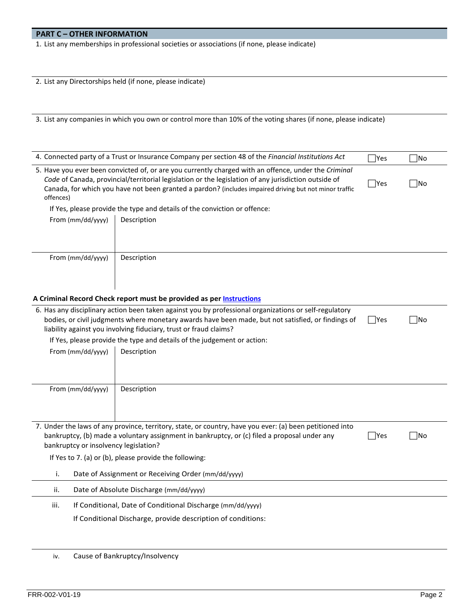#### **PART C – OTHER INFORMATION**

1. List any memberships in professional societies or associations (if none, please indicate)

|  |  | 2. List any Directorships held (if none, please indicate) |  |  |  |  |
|--|--|-----------------------------------------------------------|--|--|--|--|
|--|--|-----------------------------------------------------------|--|--|--|--|

3. List any companies in which you own or control more than 10% of the voting shares (if none, please indicate)

|                                                                                                                                                                                                                                                                                                                                     | 4. Connected party of a Trust or Insurance Company per section 48 of the Financial Institutions Act                                                                     | $\exists$ Yes | 7No |  |  |  |
|-------------------------------------------------------------------------------------------------------------------------------------------------------------------------------------------------------------------------------------------------------------------------------------------------------------------------------------|-------------------------------------------------------------------------------------------------------------------------------------------------------------------------|---------------|-----|--|--|--|
| 5. Have you ever been convicted of, or are you currently charged with an offence, under the Criminal<br>Code of Canada, provincial/territorial legislation or the legislation of any jurisdiction outside of<br>Canada, for which you have not been granted a pardon? (includes impaired driving but not minor traffic<br>offences) | $\Box$ Yes                                                                                                                                                              | No            |     |  |  |  |
|                                                                                                                                                                                                                                                                                                                                     | If Yes, please provide the type and details of the conviction or offence:                                                                                               |               |     |  |  |  |
| From (mm/dd/yyyy)                                                                                                                                                                                                                                                                                                                   | Description                                                                                                                                                             |               |     |  |  |  |
|                                                                                                                                                                                                                                                                                                                                     |                                                                                                                                                                         |               |     |  |  |  |
| From (mm/dd/yyyy)                                                                                                                                                                                                                                                                                                                   | Description                                                                                                                                                             |               |     |  |  |  |
|                                                                                                                                                                                                                                                                                                                                     |                                                                                                                                                                         |               |     |  |  |  |
|                                                                                                                                                                                                                                                                                                                                     |                                                                                                                                                                         |               |     |  |  |  |
|                                                                                                                                                                                                                                                                                                                                     | A Criminal Record Check report must be provided as per Instructions                                                                                                     |               |     |  |  |  |
|                                                                                                                                                                                                                                                                                                                                     | 6. Has any disciplinary action been taken against you by professional organizations or self-regulatory                                                                  |               |     |  |  |  |
|                                                                                                                                                                                                                                                                                                                                     | bodies, or civil judgments where monetary awards have been made, but not satisfied, or findings of<br>liability against you involving fiduciary, trust or fraud claims? | Yes           | ∏No |  |  |  |
|                                                                                                                                                                                                                                                                                                                                     |                                                                                                                                                                         |               |     |  |  |  |
|                                                                                                                                                                                                                                                                                                                                     | If Yes, please provide the type and details of the judgement or action:                                                                                                 |               |     |  |  |  |
| From (mm/dd/yyyy)                                                                                                                                                                                                                                                                                                                   | Description                                                                                                                                                             |               |     |  |  |  |
|                                                                                                                                                                                                                                                                                                                                     |                                                                                                                                                                         |               |     |  |  |  |
|                                                                                                                                                                                                                                                                                                                                     |                                                                                                                                                                         |               |     |  |  |  |
| From (mm/dd/yyyy)                                                                                                                                                                                                                                                                                                                   | Description                                                                                                                                                             |               |     |  |  |  |
|                                                                                                                                                                                                                                                                                                                                     |                                                                                                                                                                         |               |     |  |  |  |
|                                                                                                                                                                                                                                                                                                                                     |                                                                                                                                                                         |               |     |  |  |  |
|                                                                                                                                                                                                                                                                                                                                     | 7. Under the laws of any province, territory, state, or country, have you ever: (a) been petitioned into                                                                |               |     |  |  |  |
|                                                                                                                                                                                                                                                                                                                                     | bankruptcy, (b) made a voluntary assignment in bankruptcy, or (c) filed a proposal under any<br> Yes<br> No                                                             |               |     |  |  |  |
| bankruptcy or insolvency legislation?                                                                                                                                                                                                                                                                                               |                                                                                                                                                                         |               |     |  |  |  |
| If Yes to 7. (a) or (b), please provide the following:                                                                                                                                                                                                                                                                              |                                                                                                                                                                         |               |     |  |  |  |
| i.                                                                                                                                                                                                                                                                                                                                  | Date of Assignment or Receiving Order (mm/dd/yyyy)                                                                                                                      |               |     |  |  |  |
| ii.                                                                                                                                                                                                                                                                                                                                 | Date of Absolute Discharge (mm/dd/yyyy)                                                                                                                                 |               |     |  |  |  |
| iii.                                                                                                                                                                                                                                                                                                                                | If Conditional, Date of Conditional Discharge (mm/dd/yyyy)                                                                                                              |               |     |  |  |  |

If Conditional Discharge, provide description of conditions:

iv. Cause of Bankruptcy/Insolvency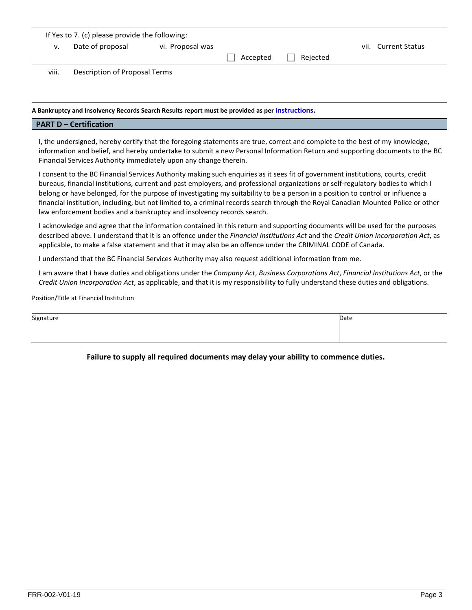| If Yes to 7. (c) please provide the following: |                               |                  |          |          |  |                     |
|------------------------------------------------|-------------------------------|------------------|----------|----------|--|---------------------|
| ν.                                             | Date of proposal              | vi. Proposal was |          |          |  | vii. Current Status |
|                                                |                               |                  | Accepted | Reiected |  |                     |
| viii.                                          | Description of Proposal Terms |                  |          |          |  |                     |

#### **A Bankruptcy and Insolvency Records Search Results report must be provided as pe[r Instructions.](#page-12-0)**

#### **PART D – Certification**

I, the undersigned, hereby certify that the foregoing statements are true, correct and complete to the best of my knowledge, information and belief, and hereby undertake to submit a new Personal Information Return and supporting documents to the BC Financial Services Authority immediately upon any change therein.

I consent to the BC Financial Services Authority making such enquiries as it sees fit of government institutions, courts, credit bureaus, financial institutions, current and past employers, and professional organizations or self-regulatory bodies to which I belong or have belonged, for the purpose of investigating my suitability to be a person in a position to control or influence a financial institution, including, but not limited to, a criminal records search through the Royal Canadian Mounted Police or other law enforcement bodies and a bankruptcy and insolvency records search.

I acknowledge and agree that the information contained in this return and supporting documents will be used for the purposes described above. I understand that it is an offence under the *Financial Institutions Act* and the *Credit Union Incorporation Act*, as applicable, to make a false statement and that it may also be an offence under the CRIMINAL CODE of Canada.

I understand that the BC Financial Services Authority may also request additional information from me.

I am aware that I have duties and obligations under the *Company Act*, *Business Corporations Act*, *Financial Institutions Act*, or the *Credit Union Incorporation Act*, as applicable, and that it is my responsibility to fully understand these duties and obligations.

Position/Title at Financial Institution

| Signature | Date |
|-----------|------|
|           |      |
|           |      |

#### **Failure to supply all required documents may delay your ability to commence duties.**